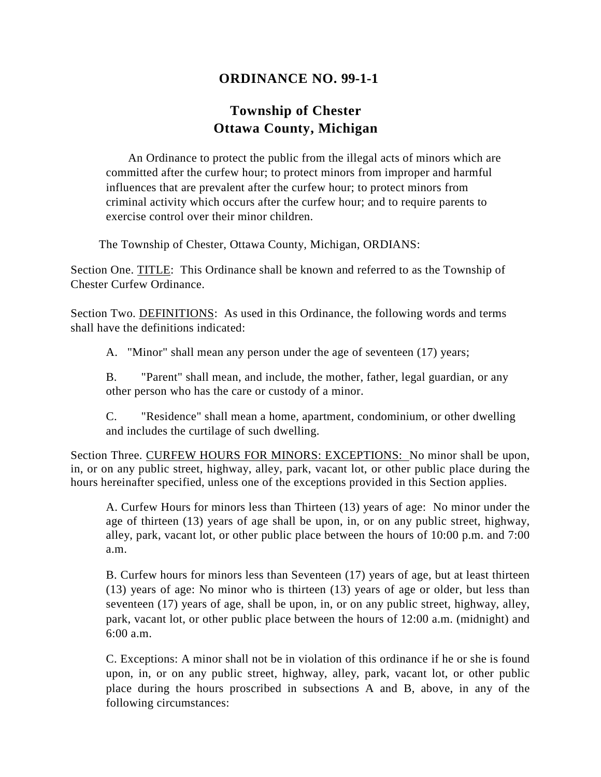## **ORDINANCE NO. 99-1-1**

## **Township of Chester Ottawa County, Michigan**

An Ordinance to protect the public from the illegal acts of minors which are committed after the curfew hour; to protect minors from improper and harmful influences that are prevalent after the curfew hour; to protect minors from criminal activity which occurs after the curfew hour; and to require parents to exercise control over their minor children.

The Township of Chester, Ottawa County, Michigan, ORDIANS:

Section One. TITLE: This Ordinance shall be known and referred to as the Township of Chester Curfew Ordinance.

Section Two. DEFINITIONS: As used in this Ordinance, the following words and terms shall have the definitions indicated:

A. "Minor" shall mean any person under the age of seventeen (17) years;

B. "Parent" shall mean, and include, the mother, father, legal guardian, or any other person who has the care or custody of a minor.

C. "Residence" shall mean a home, apartment, condominium, or other dwelling and includes the curtilage of such dwelling.

Section Three. CURFEW HOURS FOR MINORS: EXCEPTIONS: No minor shall be upon, in, or on any public street, highway, alley, park, vacant lot, or other public place during the hours hereinafter specified, unless one of the exceptions provided in this Section applies.

A. Curfew Hours for minors less than Thirteen (13) years of age: No minor under the age of thirteen (13) years of age shall be upon, in, or on any public street, highway, alley, park, vacant lot, or other public place between the hours of 10:00 p.m. and 7:00 a.m.

B. Curfew hours for minors less than Seventeen (17) years of age, but at least thirteen (13) years of age: No minor who is thirteen (13) years of age or older, but less than seventeen (17) years of age, shall be upon, in, or on any public street, highway, alley, park, vacant lot, or other public place between the hours of 12:00 a.m. (midnight) and 6:00 a.m.

C. Exceptions: A minor shall not be in violation of this ordinance if he or she is found upon, in, or on any public street, highway, alley, park, vacant lot, or other public place during the hours proscribed in subsections A and B, above, in any of the following circumstances: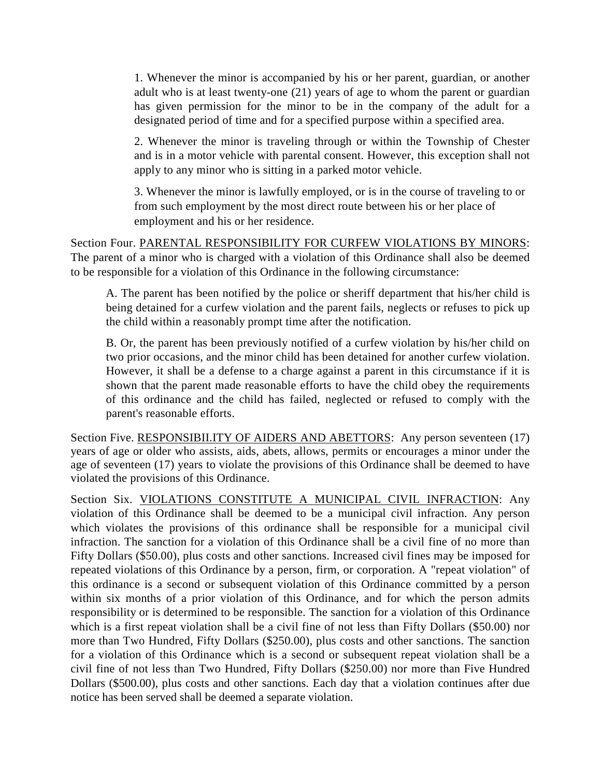1. Whenever the minor is accompanied by his or her parent, guardian, or another adult who is at least twenty-one (21) years of age to whom the parent or guardian has given permission for the minor to be in the company of the adult for a designated period of time and for a specified purpose within a specified area.

2. Whenever the minor is traveling through or within the Township of Chester and is in a motor vehicle with parental consent. However, this exception shall not apply to any minor who is sitting in a parked motor vehicle.

3. Whenever the minor is lawfully employed, or is in the course of traveling to or from such employment by the most direct route between his or her place of employment and his or her residence.

Section Four. PARENTAL RESPONSIBILITY FOR CURFEW VIOLATIONS BY MINORS: The parent of a minor who is charged with a violation of this Ordinance shall also be deemed to be responsible for a violation of this Ordinance in the following circumstance:

A. The parent has been notified by the police or sheriff department that his/her child is being detained for a curfew violation and the parent fails, neglects or refuses to pick up the child within a reasonably prompt time after the notification.

B. Or, the parent has been previously notified of a curfew violation by his/her child on two prior occasions, and the minor child has been detained for another curfew violation. However, it shall be a defense to a charge against a parent in this circumstance if it is shown that the parent made reasonable efforts to have the child obey the requirements of this ordinance and the child has failed, neglected or refused to comply with the parent's reasonable efforts.

Section Five. RESPONSIBII.ITY OF AIDERS AND ABETTORS: Any person seventeen (17) years of age or older who assists, aids, abets, allows, permits or encourages a minor under the age of seventeen (17) years to violate the provisions of this Ordinance shall be deemed to have violated the provisions of this Ordinance.

Section Six. VIOLATIONS CONSTITUTE A MUNICIPAL CIVIL INFRACTION: Any violation of this Ordinance shall be deemed to be a municipal civil infraction. Any person which violates the provisions of this ordinance shall be responsible for a municipal civil infraction. The sanction for a violation of this Ordinance shall be a civil fine of no more than Fifty Dollars (\$50.00), plus costs and other sanctions. Increased civil fines may be imposed for repeated violations of this Ordinance by a person, firm, or corporation. A "repeat violation" of this ordinance is a second or subsequent violation of this Ordinance committed by a person within six months of a prior violation of this Ordinance, and for which the person admits responsibility or is determined to be responsible. The sanction for a violation of this Ordinance which is a first repeat violation shall be a civil fine of not less than Fifty Dollars (\$50.00) nor more than Two Hundred, Fifty Dollars (\$250.00), plus costs and other sanctions. The sanction for a violation of this Ordinance which is a second or subsequent repeat violation shall be a civil fine of not less than Two Hundred, Fifty Dollars (\$250.00) nor more than Five Hundred Dollars (\$500.00), plus costs and other sanctions. Each day that a violation continues after due notice has been served shall be deemed a separate violation.